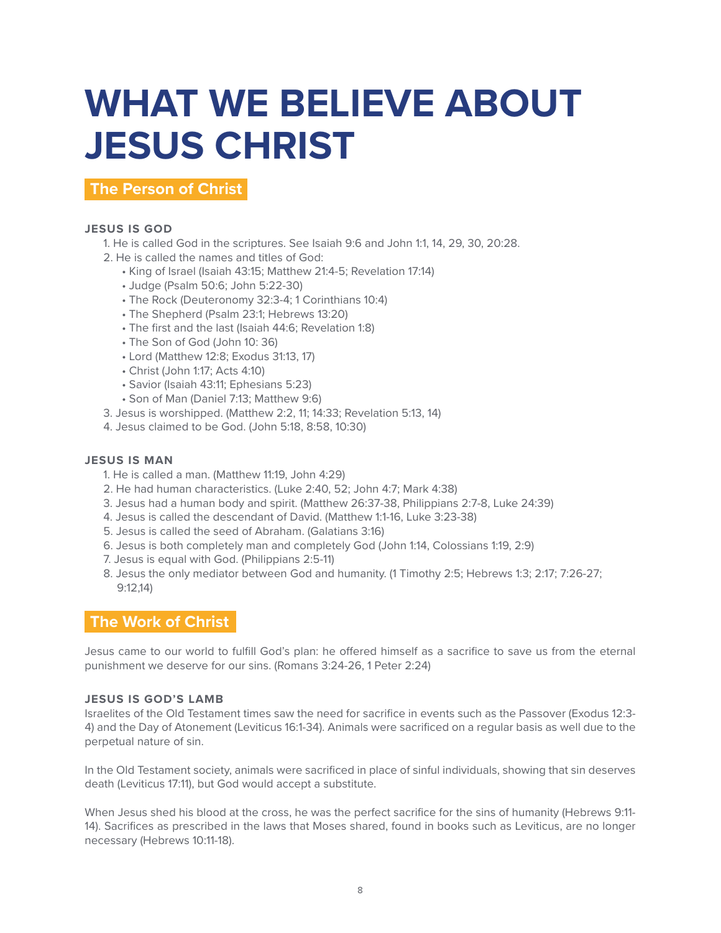# **WHAT WE BELIEVE ABOUT JESUS CHRIST**

**The Person of Christ**

# **JESUS IS GOD**

- 1. He is called God in the scriptures. See Isaiah 9:6 and John 1:1, 14, 29, 30, 20:28.
- 2. He is called the names and titles of God:
	- King of Israel (Isaiah 43:15; Matthew 21:4-5; Revelation 17:14)
	- Judge (Psalm 50:6; John 5:22-30)
	- The Rock (Deuteronomy 32:3-4; 1 Corinthians 10:4)
	- The Shepherd (Psalm 23:1; Hebrews 13:20)
	- The first and the last (Isaiah 44:6; Revelation 1:8)
	- The Son of God (John 10: 36)
	- Lord (Matthew 12:8; Exodus 31:13, 17)
	- Christ (John 1:17; Acts 4:10)
	- Savior (Isaiah 43:11; Ephesians 5:23)
	- Son of Man (Daniel 7:13; Matthew 9:6)
- 3. Jesus is worshipped. (Matthew 2:2, 11; 14:33; Revelation 5:13, 14)
- 4. Jesus claimed to be God. (John 5:18, 8:58, 10:30)

# **JESUS IS MAN**

- 1. He is called a man. (Matthew 11:19, John 4:29)
- 2. He had human characteristics. (Luke 2:40, 52; John 4:7; Mark 4:38)
- 3. Jesus had a human body and spirit. (Matthew 26:37-38, Philippians 2:7-8, Luke 24:39)
- 4. Jesus is called the descendant of David. (Matthew 1:1-16, Luke 3:23-38)
- 5. Jesus is called the seed of Abraham. (Galatians 3:16)
- 6. Jesus is both completely man and completely God (John 1:14, Colossians 1:19, 2:9)
- 7. Jesus is equal with God. (Philippians 2:5-11)
- 8. Jesus the only mediator between God and humanity. (1 Timothy 2:5; Hebrews 1:3; 2:17; 7:26-27; 9:12,14)

# **The Work of Christ**

Jesus came to our world to fulfill God's plan: he offered himself as a sacrifice to save us from the eternal punishment we deserve for our sins. (Romans 3:24-26, 1 Peter 2:24)

#### **JESUS IS GOD'S LAMB**

Israelites of the Old Testament times saw the need for sacrifice in events such as the Passover (Exodus 12:3- 4) and the Day of Atonement (Leviticus 16:1-34). Animals were sacrificed on a regular basis as well due to the perpetual nature of sin.

In the Old Testament society, animals were sacrificed in place of sinful individuals, showing that sin deserves death (Leviticus 17:11), but God would accept a substitute.

When Jesus shed his blood at the cross, he was the perfect sacrifice for the sins of humanity (Hebrews 9:11- 14). Sacrifices as prescribed in the laws that Moses shared, found in books such as Leviticus, are no longer necessary (Hebrews 10:11-18).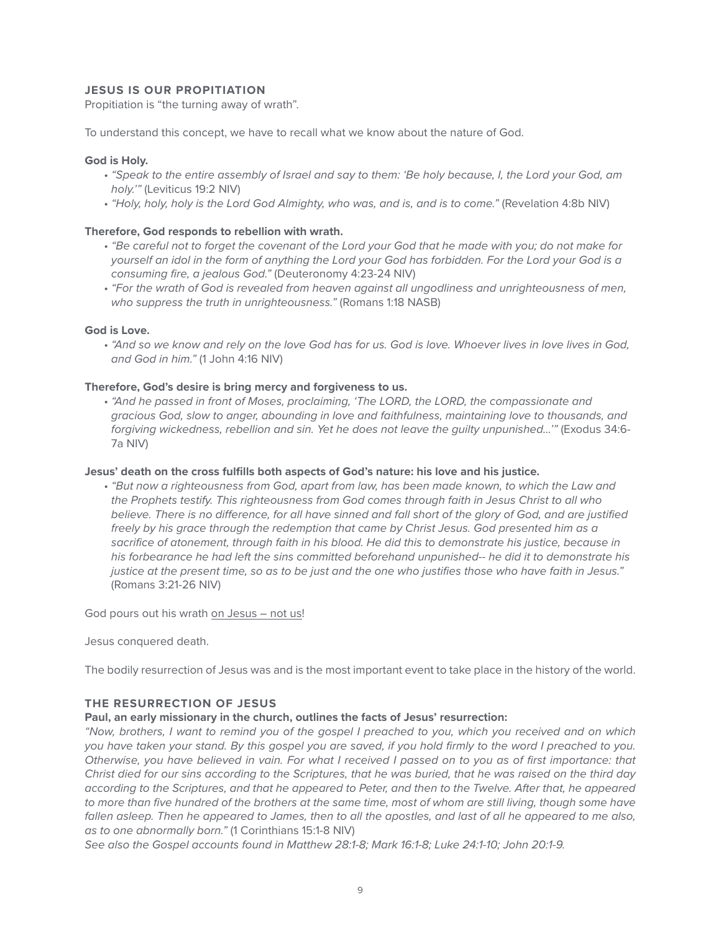# **JESUS IS OUR PROPITIATION**

Propitiation is "the turning away of wrath".

To understand this concept, we have to recall what we know about the nature of God.

#### **God is Holy.**

- *"Speak to the entire assembly of Israel and say to them: 'Be holy because, I, the Lord your God, am holy.'"* (Leviticus 19:2 NIV)
- *"Holy, holy, holy is the Lord God Almighty, who was, and is, and is to come."* (Revelation 4:8b NIV)

#### **Therefore, God responds to rebellion with wrath.**

- • *"Be careful not to forget the covenant of the Lord your God that he made with you; do not make for yourself an idol in the form of anything the Lord your God has forbidden. For the Lord your God is a consuming fire, a jealous God."* (Deuteronomy 4:23-24 NIV)
- *"For the wrath of God is revealed from heaven against all ungodliness and unrighteousness of men, who suppress the truth in unrighteousness."* (Romans 1:18 NASB)

#### **God is Love.**

• *"And so we know and rely on the love God has for us. God is love. Whoever lives in love lives in God, and God in him."* (1 John 4:16 NIV)

#### **Therefore, God's desire is bring mercy and forgiveness to us.**

• *"And he passed in front of Moses, proclaiming, 'The LORD, the LORD, the compassionate and gracious God, slow to anger, abounding in love and faithfulness, maintaining love to thousands, and forgiving wickedness, rebellion and sin. Yet he does not leave the guilty unpunished...'"* (Exodus 34:6- 7a NIV)

#### **Jesus' death on the cross fulfills both aspects of God's nature: his love and his justice.**

• *"But now a righteousness from God, apart from law, has been made known, to which the Law and the Prophets testify. This righteousness from God comes through faith in Jesus Christ to all who believe. There is no difference, for all have sinned and fall short of the glory of God, and are justified freely by his grace through the redemption that came by Christ Jesus. God presented him as a sacrifice of atonement, through faith in his blood. He did this to demonstrate his justice, because in his forbearance he had left the sins committed beforehand unpunished-- he did it to demonstrate his justice at the present time, so as to be just and the one who justifies those who have faith in Jesus."*  (Romans 3:21-26 NIV)

God pours out his wrath on Jesus – not us!

Jesus conquered death.

The bodily resurrection of Jesus was and is the most important event to take place in the history of the world.

#### **THE RESURRECTION OF JESUS**

#### **Paul, an early missionary in the church, outlines the facts of Jesus' resurrection:**

*"Now, brothers, I want to remind you of the gospel I preached to you, which you received and on which you have taken your stand. By this gospel you are saved, if you hold firmly to the word I preached to you. Otherwise, you have believed in vain. For what I received I passed on to you as of first importance: that Christ died for our sins according to the Scriptures, that he was buried, that he was raised on the third day according to the Scriptures, and that he appeared to Peter, and then to the Twelve. After that, he appeared*  to more than five hundred of the brothers at the same time, most of whom are still living, though some have fallen asleep. Then he appeared to James, then to all the apostles, and last of all he appeared to me also, *as to one abnormally born."* (1 Corinthians 15:1-8 NIV)

*See also the Gospel accounts found in Matthew 28:1-8; Mark 16:1-8; Luke 24:1-10; John 20:1-9.*